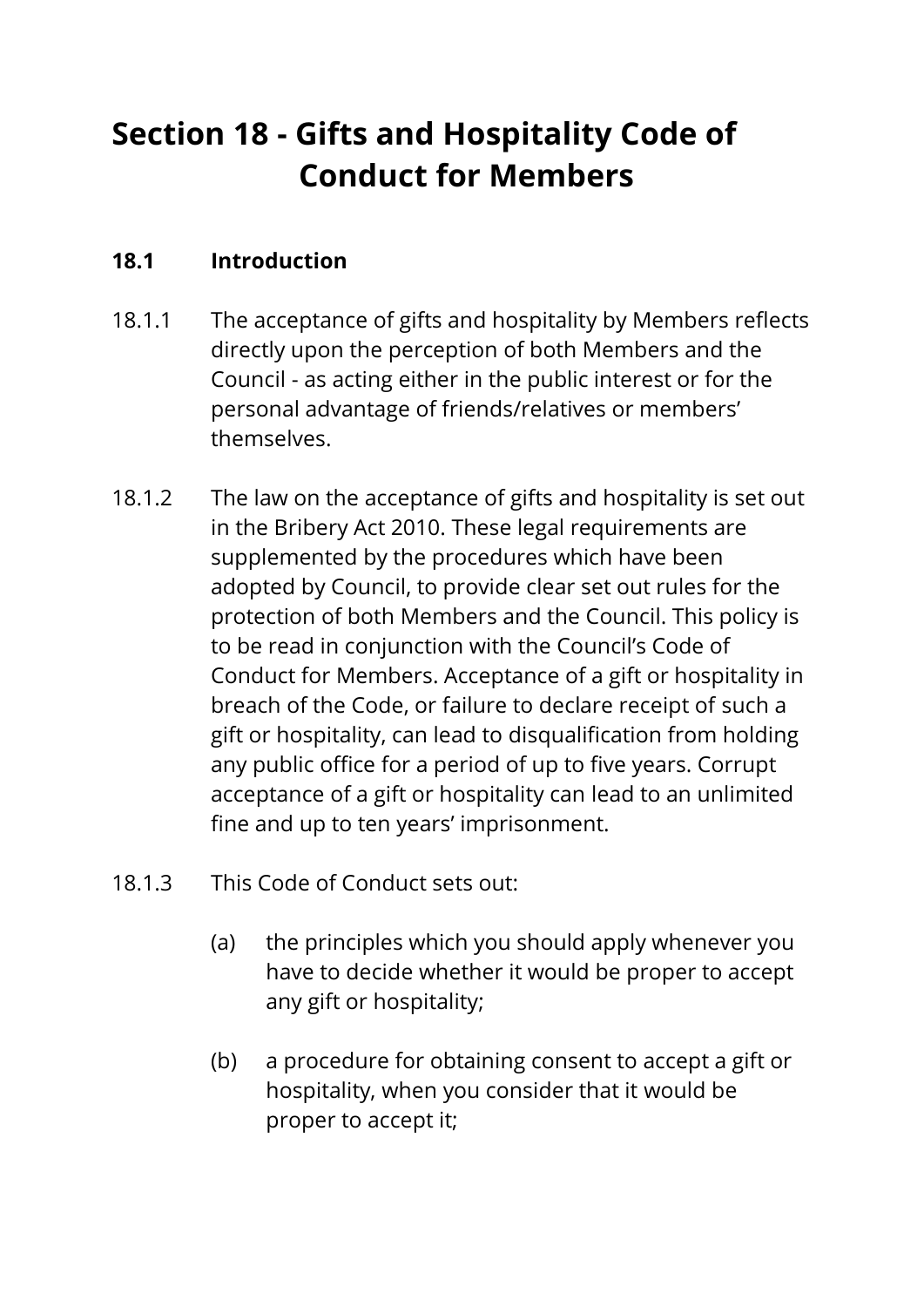# **Section 18 - Gifts and Hospitality Code of Conduct for Members**

# **18.1 Introduction**

- 18.1.1 The acceptance of gifts and hospitality by Members reflects directly upon the perception of both Members and the Council - as acting either in the public interest or for the personal advantage of friends/relatives or members' themselves.
- 18.1.2 The law on the acceptance of gifts and hospitality is set out in the Bribery Act 2010. These legal requirements are supplemented by the procedures which have been adopted by Council, to provide clear set out rules for the protection of both Members and the Council. This policy is to be read in conjunction with the Council's Code of Conduct for Members. Acceptance of a gift or hospitality in breach of the Code, or failure to declare receipt of such a gift or hospitality, can lead to disqualification from holding any public office for a period of up to five years. Corrupt acceptance of a gift or hospitality can lead to an unlimited fine and up to ten years' imprisonment.
- 18.1.3 This Code of Conduct sets out:
	- (a) the principles which you should apply whenever you have to decide whether it would be proper to accept any gift or hospitality;
	- (b) a procedure for obtaining consent to accept a gift or hospitality, when you consider that it would be proper to accept it;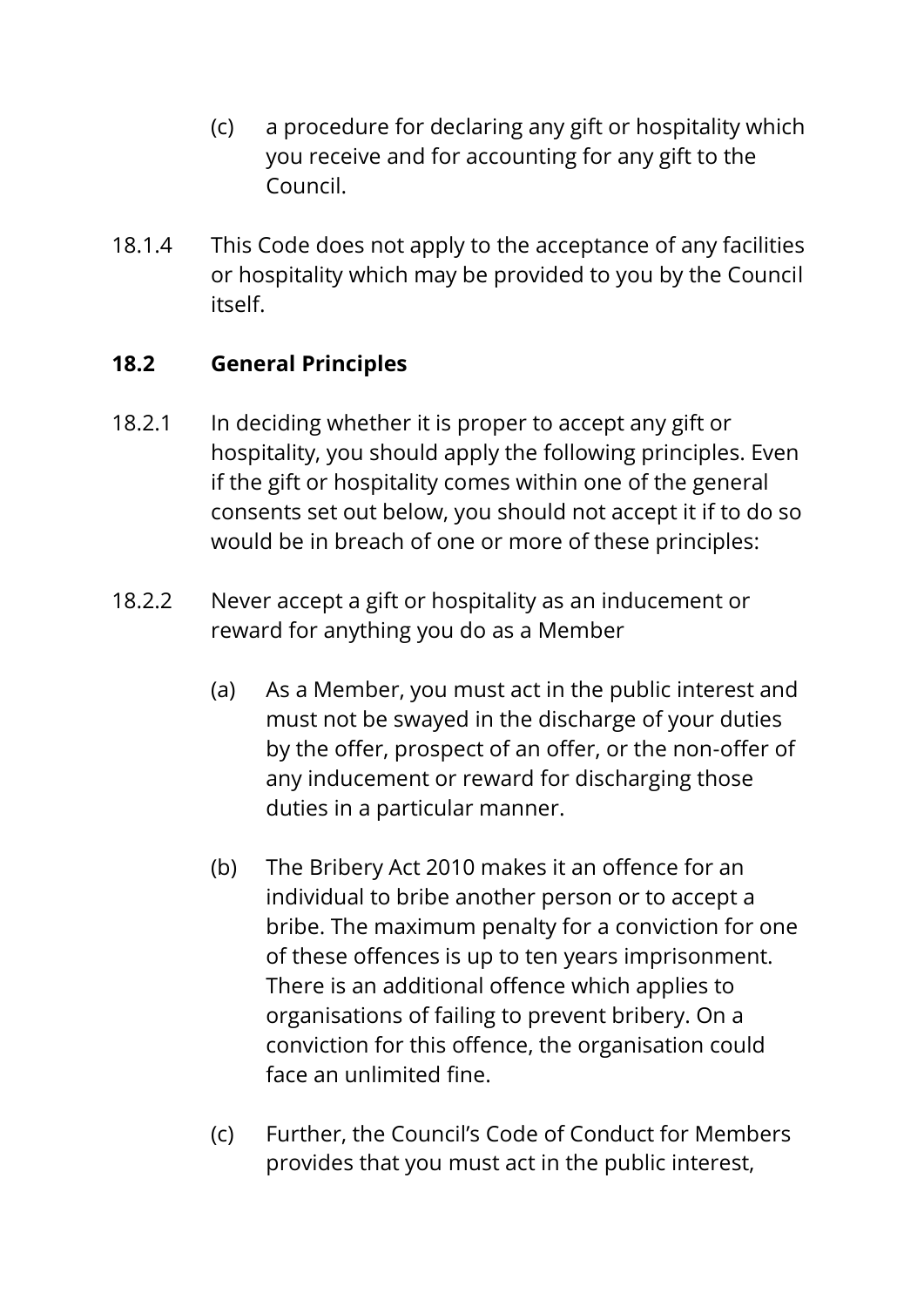- (c) a procedure for declaring any gift or hospitality which you receive and for accounting for any gift to the Council.
- 18.1.4 This Code does not apply to the acceptance of any facilities or hospitality which may be provided to you by the Council itself.

## **18.2 General Principles**

- 18.2.1 In deciding whether it is proper to accept any gift or hospitality, you should apply the following principles. Even if the gift or hospitality comes within one of the general consents set out below, you should not accept it if to do so would be in breach of one or more of these principles:
- 18.2.2 Never accept a gift or hospitality as an inducement or reward for anything you do as a Member
	- (a) As a Member, you must act in the public interest and must not be swayed in the discharge of your duties by the offer, prospect of an offer, or the non-offer of any inducement or reward for discharging those duties in a particular manner.
	- (b) The Bribery Act 2010 makes it an offence for an individual to bribe another person or to accept a bribe. The maximum penalty for a conviction for one of these offences is up to ten years imprisonment. There is an additional offence which applies to organisations of failing to prevent bribery. On a conviction for this offence, the organisation could face an unlimited fine.
	- (c) Further, the Council's Code of Conduct for Members provides that you must act in the public interest,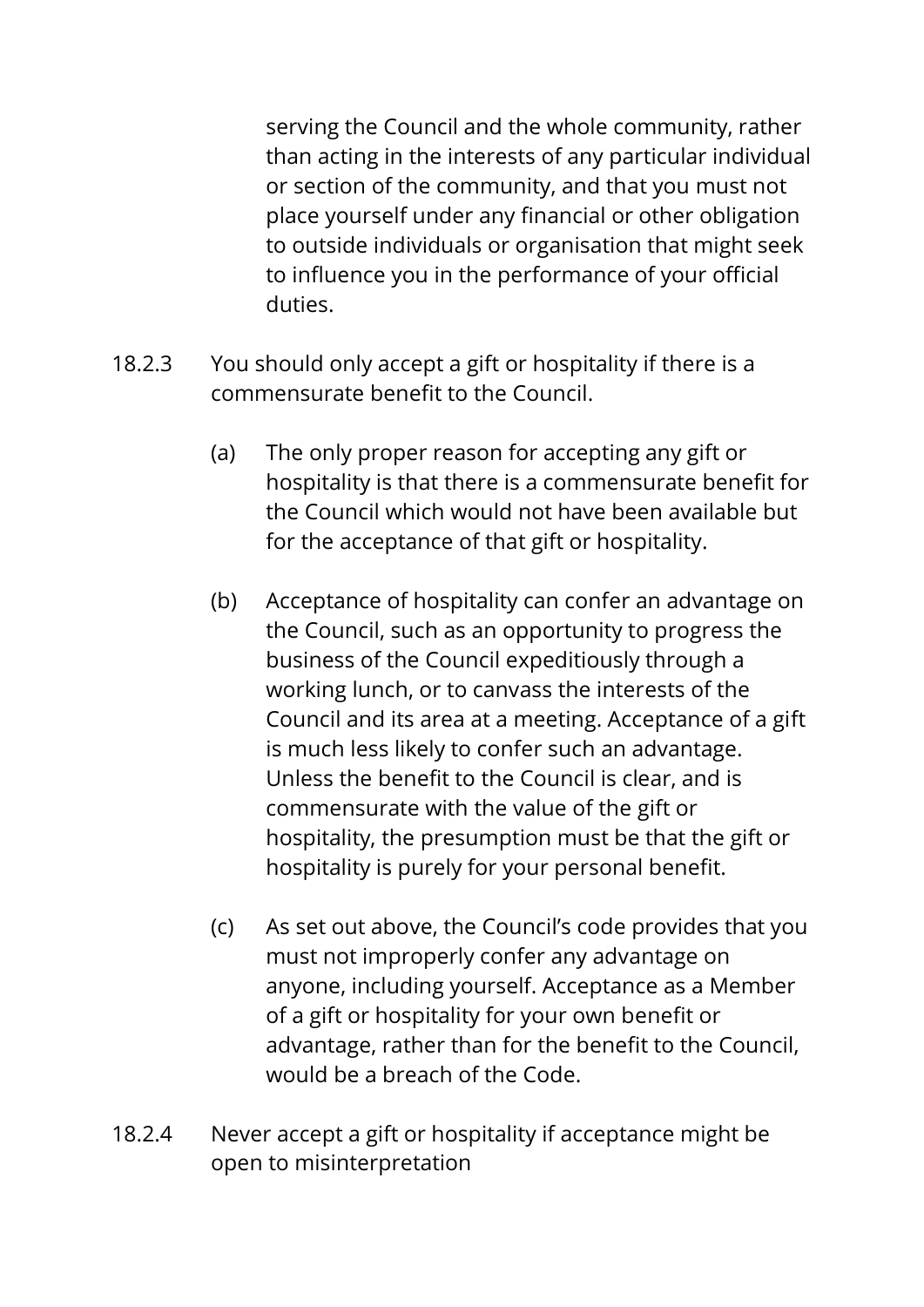serving the Council and the whole community, rather than acting in the interests of any particular individual or section of the community, and that you must not place yourself under any financial or other obligation to outside individuals or organisation that might seek to influence you in the performance of your official duties.

- 18.2.3 You should only accept a gift or hospitality if there is a commensurate benefit to the Council.
	- (a) The only proper reason for accepting any gift or hospitality is that there is a commensurate benefit for the Council which would not have been available but for the acceptance of that gift or hospitality.
	- (b) Acceptance of hospitality can confer an advantage on the Council, such as an opportunity to progress the business of the Council expeditiously through a working lunch, or to canvass the interests of the Council and its area at a meeting. Acceptance of a gift is much less likely to confer such an advantage. Unless the benefit to the Council is clear, and is commensurate with the value of the gift or hospitality, the presumption must be that the gift or hospitality is purely for your personal benefit.
	- (c) As set out above, the Council's code provides that you must not improperly confer any advantage on anyone, including yourself. Acceptance as a Member of a gift or hospitality for your own benefit or advantage, rather than for the benefit to the Council, would be a breach of the Code.
- 18.2.4 Never accept a gift or hospitality if acceptance might be open to misinterpretation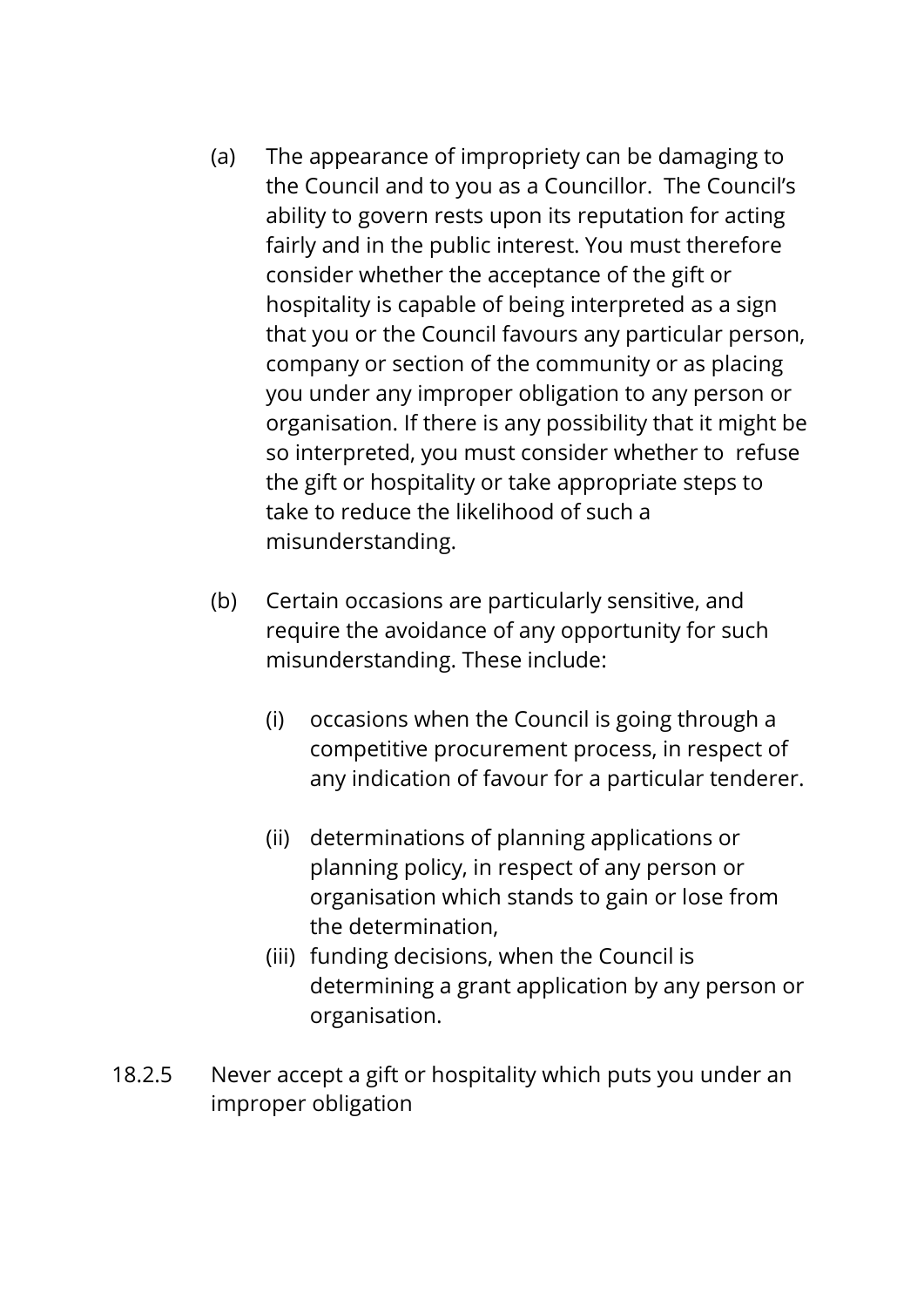- (a) The appearance of impropriety can be damaging to the Council and to you as a Councillor. The Council's ability to govern rests upon its reputation for acting fairly and in the public interest. You must therefore consider whether the acceptance of the gift or hospitality is capable of being interpreted as a sign that you or the Council favours any particular person, company or section of the community or as placing you under any improper obligation to any person or organisation. If there is any possibility that it might be so interpreted, you must consider whether to refuse the gift or hospitality or take appropriate steps to take to reduce the likelihood of such a misunderstanding.
- (b) Certain occasions are particularly sensitive, and require the avoidance of any opportunity for such misunderstanding. These include:
	- (i) occasions when the Council is going through a competitive procurement process, in respect of any indication of favour for a particular tenderer.
	- (ii) determinations of planning applications or planning policy, in respect of any person or organisation which stands to gain or lose from the determination,
	- (iii) funding decisions, when the Council is determining a grant application by any person or organisation.
- 18.2.5 Never accept a gift or hospitality which puts you under an improper obligation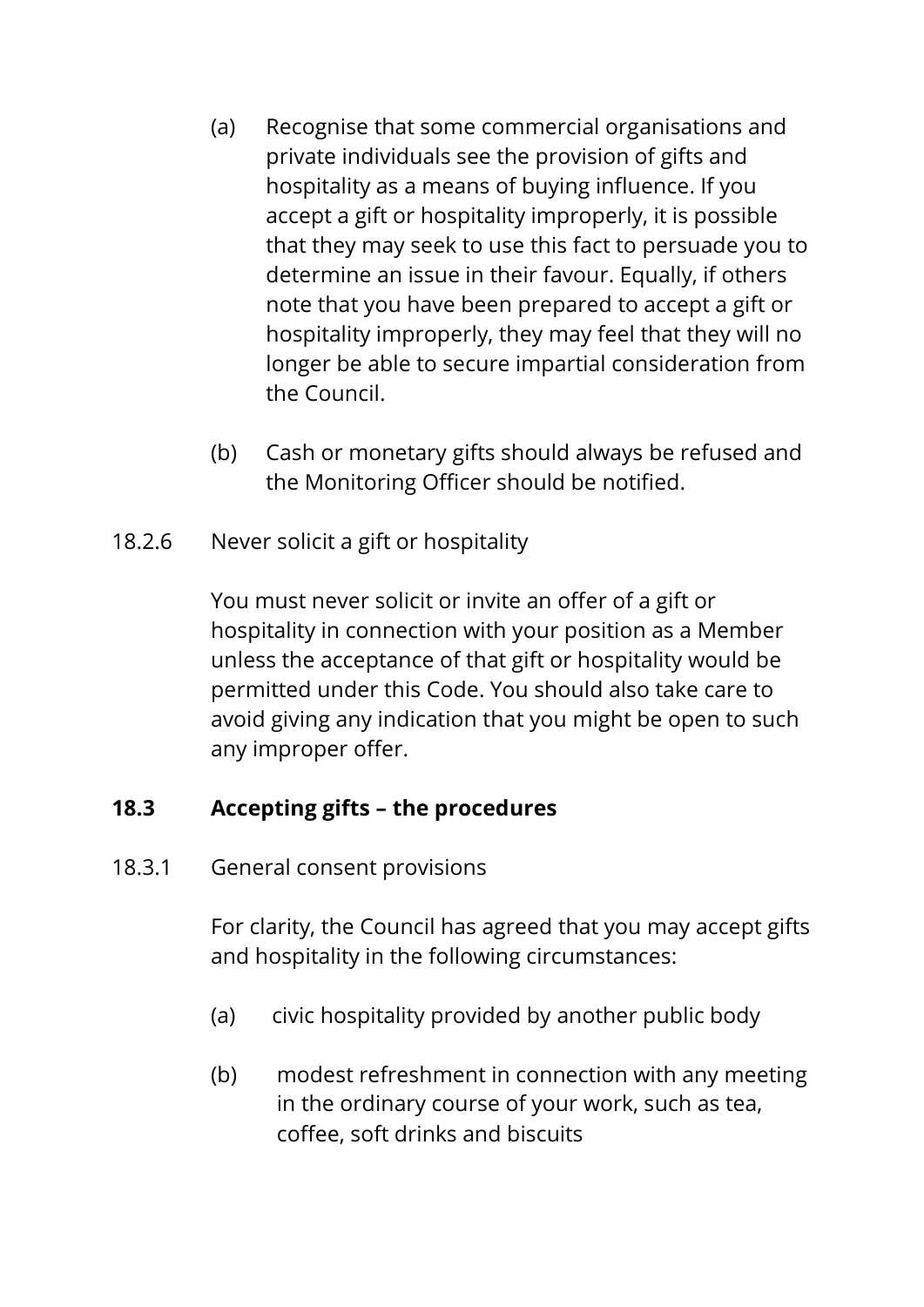- (a) Recognise that some commercial organisations and private individuals see the provision of gifts and hospitality as a means of buying influence. If you accept a gift or hospitality improperly, it is possible that they may seek to use this fact to persuade you to determine an issue in their favour. Equally, if others note that you have been prepared to accept a gift or hospitality improperly, they may feel that they will no longer be able to secure impartial consideration from the Council.
- (b) Cash or monetary gifts should always be refused and the Monitoring Officer should be notified.
- 18.2.6 Never solicit a gift or hospitality

You must never solicit or invite an offer of a gift or hospitality in connection with your position as a Member unless the acceptance of that gift or hospitality would be permitted under this Code. You should also take care to avoid giving any indication that you might be open to such any improper offer.

## **18.3 Accepting gifts – the procedures**

18.3.1 General consent provisions

For clarity, the Council has agreed that you may accept gifts and hospitality in the following circumstances:

- (a) civic hospitality provided by another public body
- (b) modest refreshment in connection with any meeting in the ordinary course of your work, such as tea, coffee, soft drinks and biscuits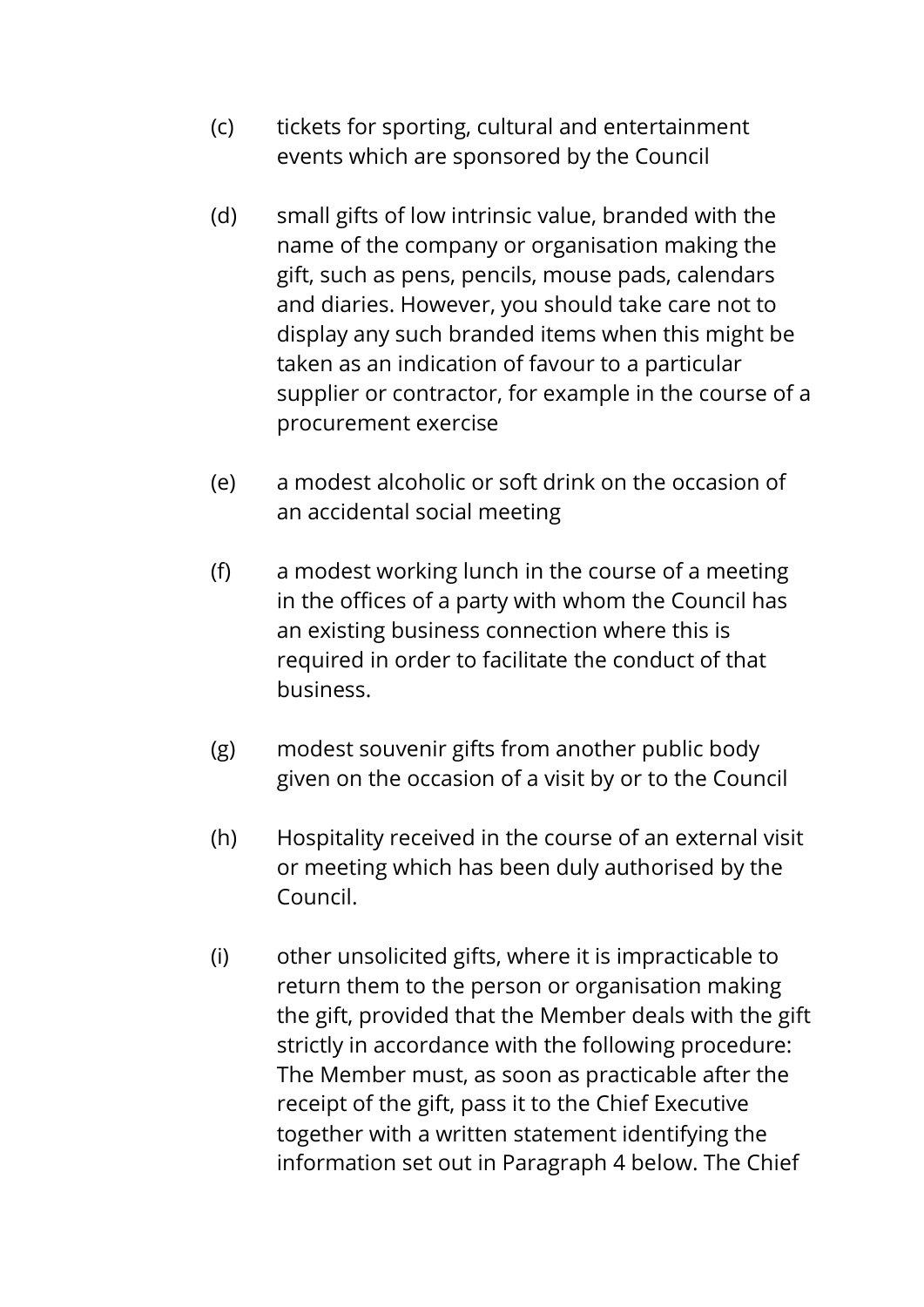- (c) tickets for sporting, cultural and entertainment events which are sponsored by the Council
- (d) small gifts of low intrinsic value, branded with the name of the company or organisation making the gift, such as pens, pencils, mouse pads, calendars and diaries. However, you should take care not to display any such branded items when this might be taken as an indication of favour to a particular supplier or contractor, for example in the course of a procurement exercise
- (e) a modest alcoholic or soft drink on the occasion of an accidental social meeting
- (f) a modest working lunch in the course of a meeting in the offices of a party with whom the Council has an existing business connection where this is required in order to facilitate the conduct of that business.
- (g) modest souvenir gifts from another public body given on the occasion of a visit by or to the Council
- (h) Hospitality received in the course of an external visit or meeting which has been duly authorised by the Council.
- (i) other unsolicited gifts, where it is impracticable to return them to the person or organisation making the gift, provided that the Member deals with the gift strictly in accordance with the following procedure: The Member must, as soon as practicable after the receipt of the gift, pass it to the Chief Executive together with a written statement identifying the information set out in Paragraph 4 below. The Chief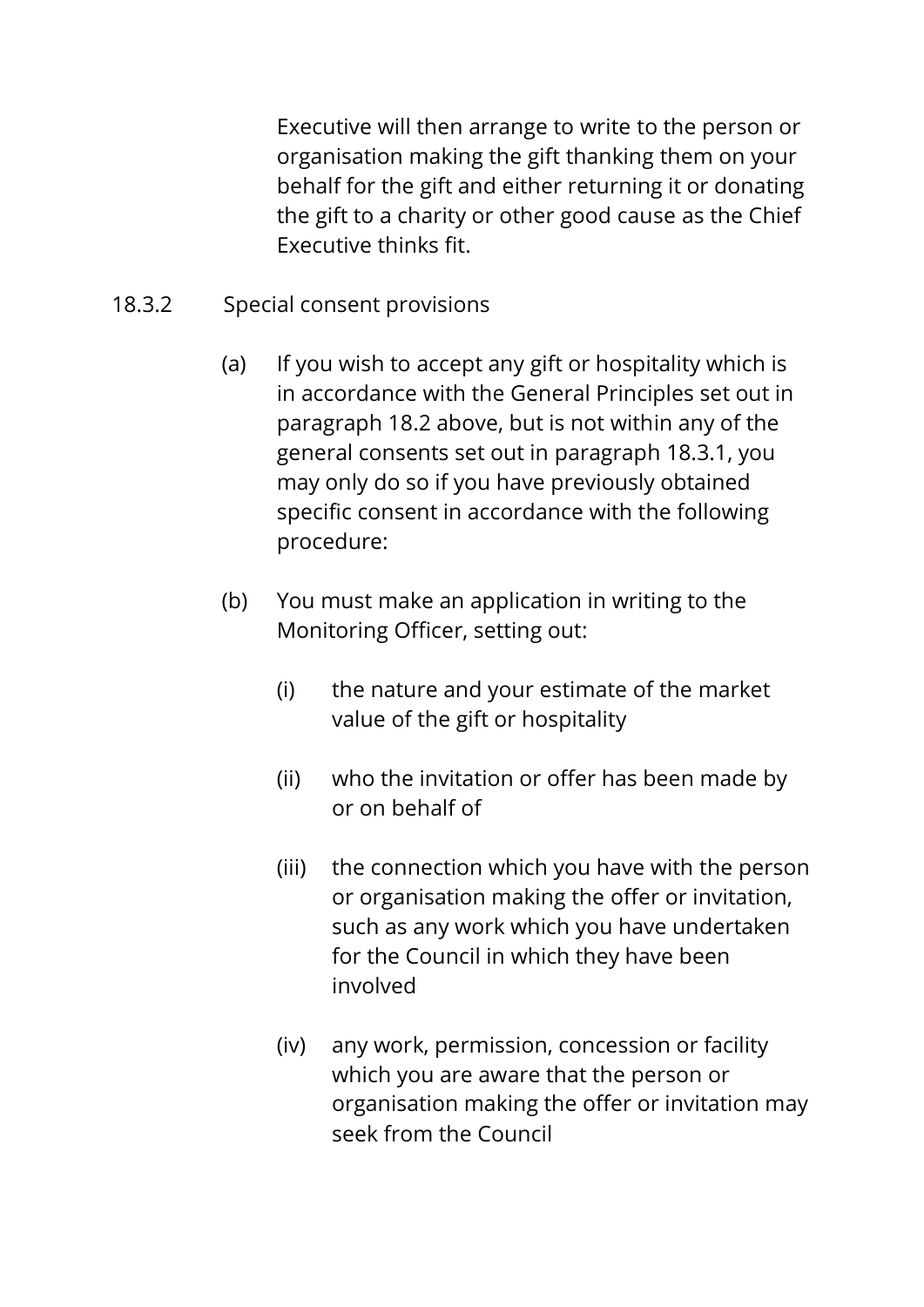Executive will then arrange to write to the person or organisation making the gift thanking them on your behalf for the gift and either returning it or donating the gift to a charity or other good cause as the Chief Executive thinks fit.

- 18.3.2 Special consent provisions
	- (a) If you wish to accept any gift or hospitality which is in accordance with the General Principles set out in paragraph 18.2 above, but is not within any of the general consents set out in paragraph 18.3.1, you may only do so if you have previously obtained specific consent in accordance with the following procedure:
	- (b) You must make an application in writing to the Monitoring Officer, setting out:
		- (i) the nature and your estimate of the market value of the gift or hospitality
		- (ii) who the invitation or offer has been made by or on behalf of
		- (iii) the connection which you have with the person or organisation making the offer or invitation, such as any work which you have undertaken for the Council in which they have been involved
		- (iv) any work, permission, concession or facility which you are aware that the person or organisation making the offer or invitation may seek from the Council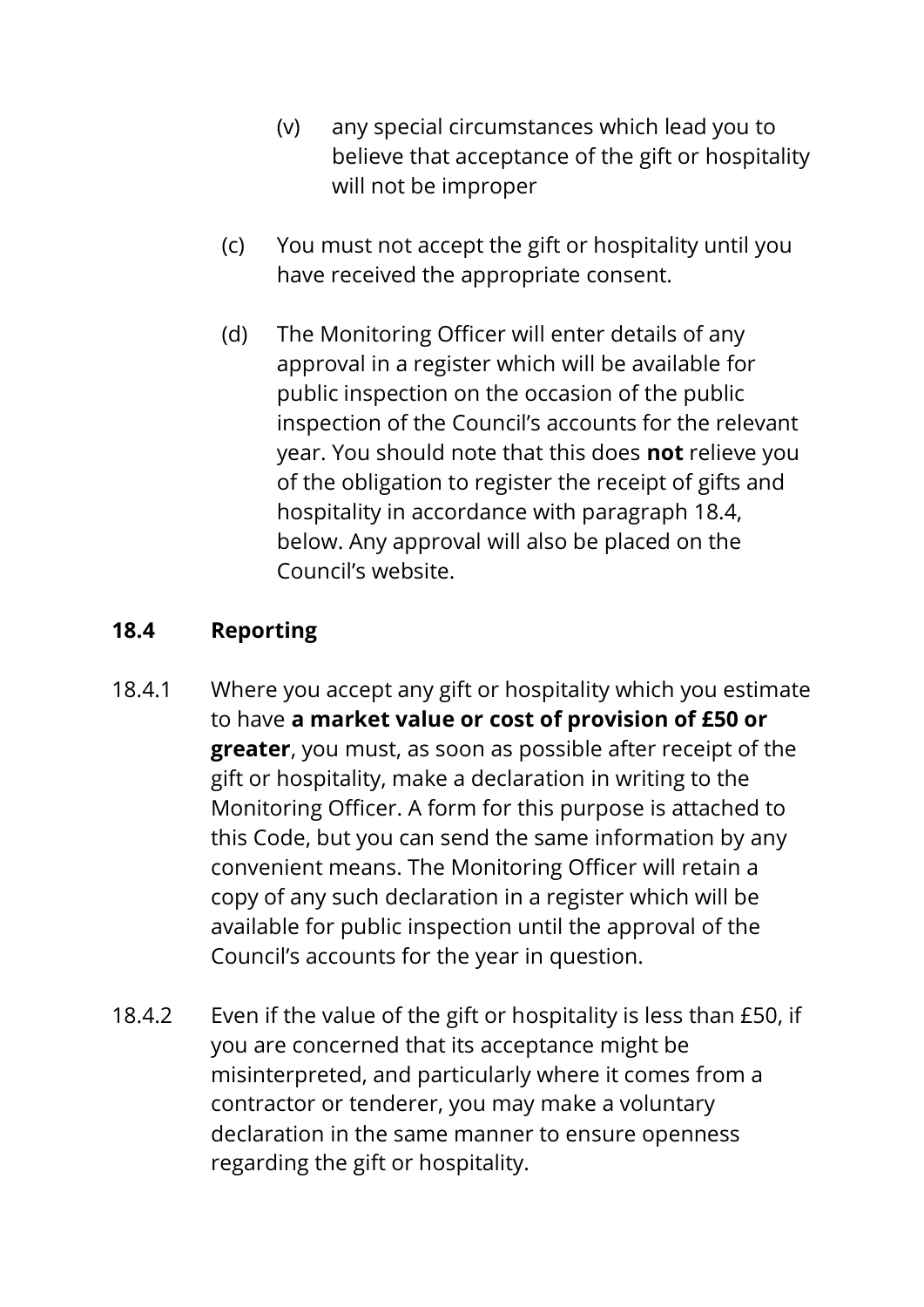- (v) any special circumstances which lead you to believe that acceptance of the gift or hospitality will not be improper
- (c) You must not accept the gift or hospitality until you have received the appropriate consent.
- (d) The Monitoring Officer will enter details of any approval in a register which will be available for public inspection on the occasion of the public inspection of the Council's accounts for the relevant year. You should note that this does **not** relieve you of the obligation to register the receipt of gifts and hospitality in accordance with paragraph 18.4, below. Any approval will also be placed on the Council's website.

# **18.4 Reporting**

- 18.4.1 Where you accept any gift or hospitality which you estimate to have **a market value or cost of provision of £50 or greater**, you must, as soon as possible after receipt of the gift or hospitality, make a declaration in writing to the Monitoring Officer. A form for this purpose is attached to this Code, but you can send the same information by any convenient means. The Monitoring Officer will retain a copy of any such declaration in a register which will be available for public inspection until the approval of the Council's accounts for the year in question.
- 18.4.2 Even if the value of the gift or hospitality is less than £50, if you are concerned that its acceptance might be misinterpreted, and particularly where it comes from a contractor or tenderer, you may make a voluntary declaration in the same manner to ensure openness regarding the gift or hospitality.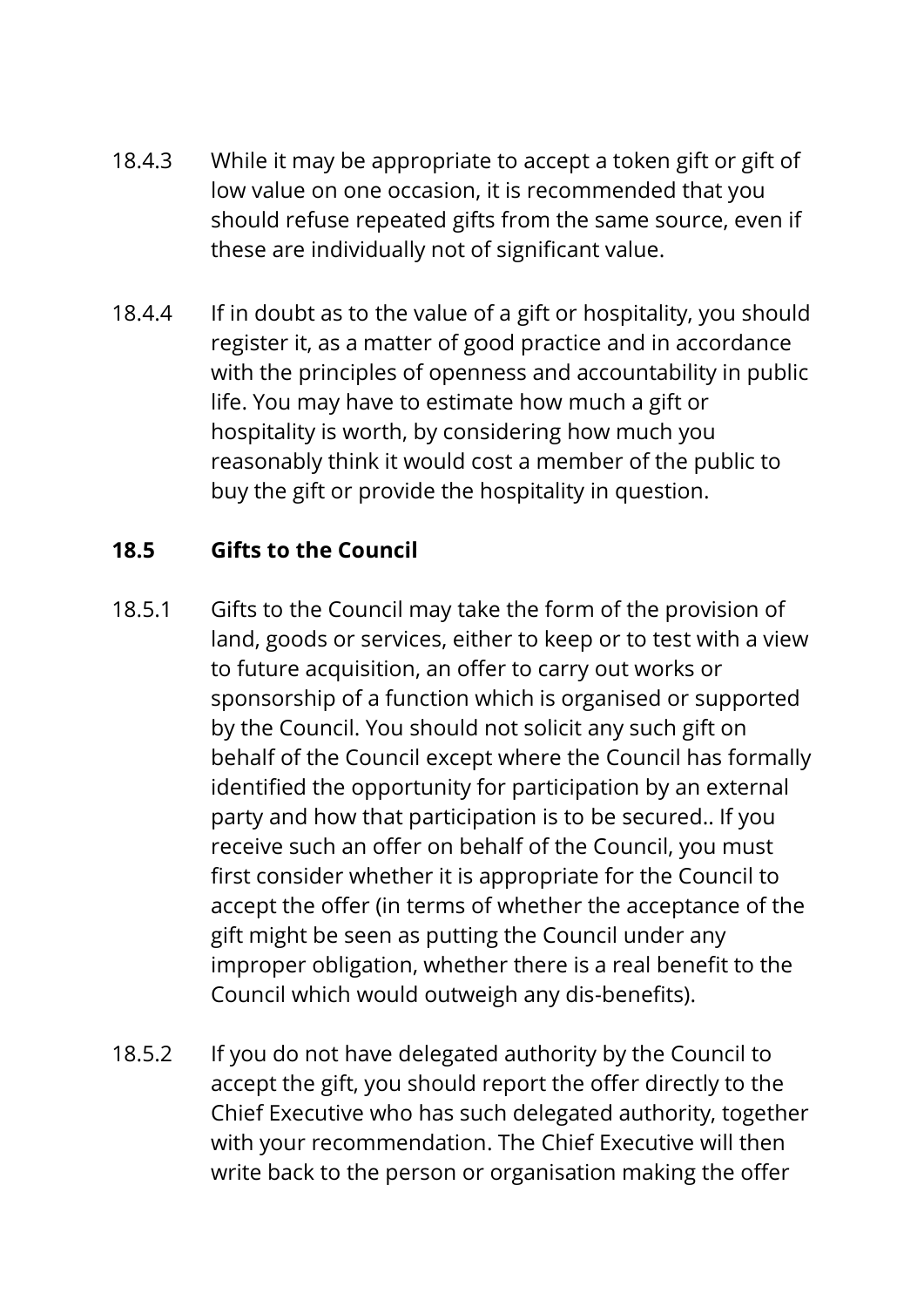- 18.4.3 While it may be appropriate to accept a token gift or gift of low value on one occasion, it is recommended that you should refuse repeated gifts from the same source, even if these are individually not of significant value.
- 18.4.4 If in doubt as to the value of a gift or hospitality, you should register it, as a matter of good practice and in accordance with the principles of openness and accountability in public life. You may have to estimate how much a gift or hospitality is worth, by considering how much you reasonably think it would cost a member of the public to buy the gift or provide the hospitality in question.

# **18.5 Gifts to the Council**

- 18.5.1 Gifts to the Council may take the form of the provision of land, goods or services, either to keep or to test with a view to future acquisition, an offer to carry out works or sponsorship of a function which is organised or supported by the Council. You should not solicit any such gift on behalf of the Council except where the Council has formally identified the opportunity for participation by an external party and how that participation is to be secured.. If you receive such an offer on behalf of the Council, you must first consider whether it is appropriate for the Council to accept the offer (in terms of whether the acceptance of the gift might be seen as putting the Council under any improper obligation, whether there is a real benefit to the Council which would outweigh any dis-benefits).
- 18.5.2 If you do not have delegated authority by the Council to accept the gift, you should report the offer directly to the Chief Executive who has such delegated authority, together with your recommendation. The Chief Executive will then write back to the person or organisation making the offer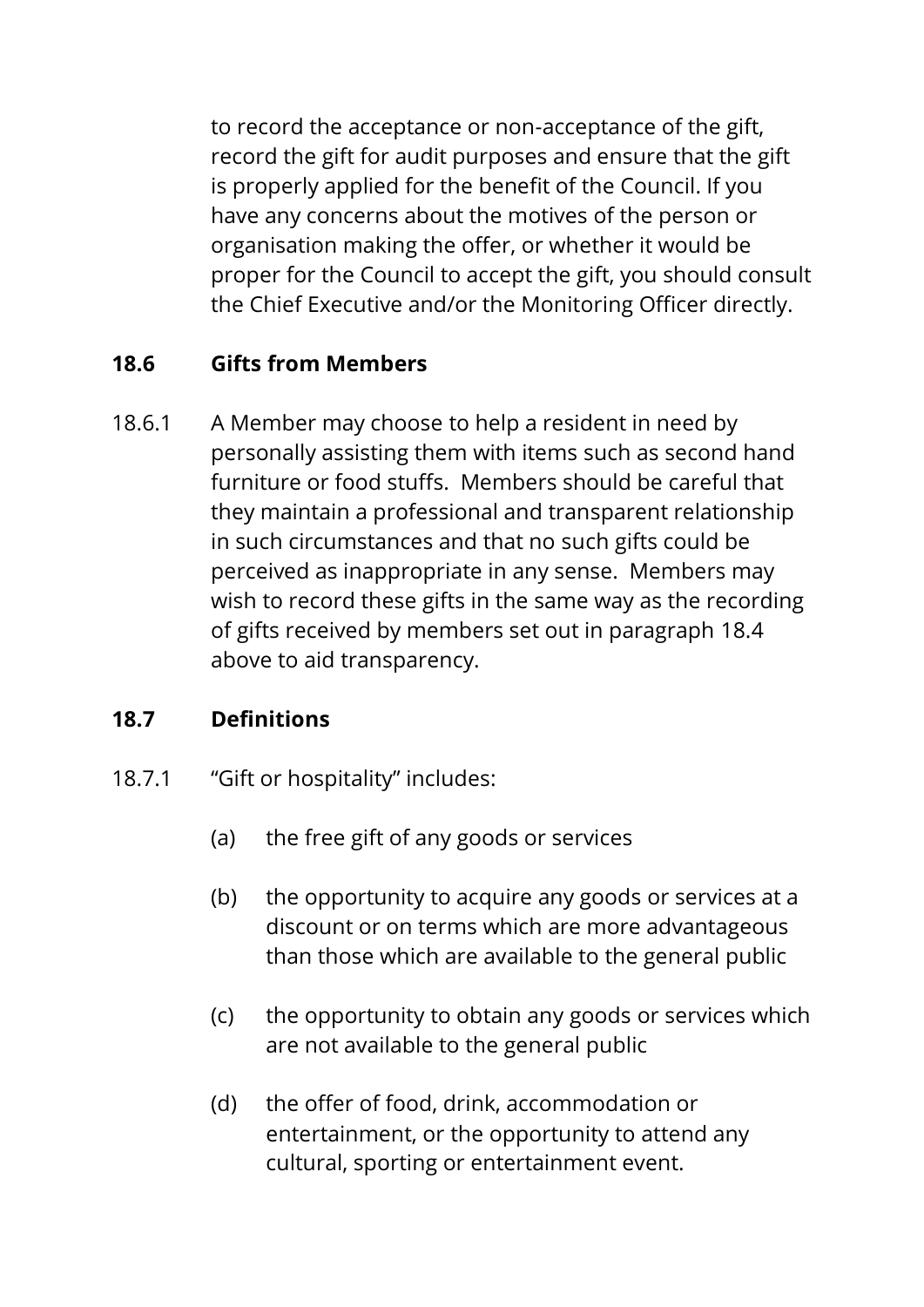to record the acceptance or non-acceptance of the gift, record the gift for audit purposes and ensure that the gift is properly applied for the benefit of the Council. If you have any concerns about the motives of the person or organisation making the offer, or whether it would be proper for the Council to accept the gift, you should consult the Chief Executive and/or the Monitoring Officer directly.

## **18.6 Gifts from Members**

18.6.1 A Member may choose to help a resident in need by personally assisting them with items such as second hand furniture or food stuffs. Members should be careful that they maintain a professional and transparent relationship in such circumstances and that no such gifts could be perceived as inappropriate in any sense. Members may wish to record these gifts in the same way as the recording of gifts received by members set out in paragraph 18.4 above to aid transparency.

## **18.7 Definitions**

- 18.7.1 "Gift or hospitality" includes:
	- (a) the free gift of any goods or services
	- (b) the opportunity to acquire any goods or services at a discount or on terms which are more advantageous than those which are available to the general public
	- (c) the opportunity to obtain any goods or services which are not available to the general public
	- (d) the offer of food, drink, accommodation or entertainment, or the opportunity to attend any cultural, sporting or entertainment event.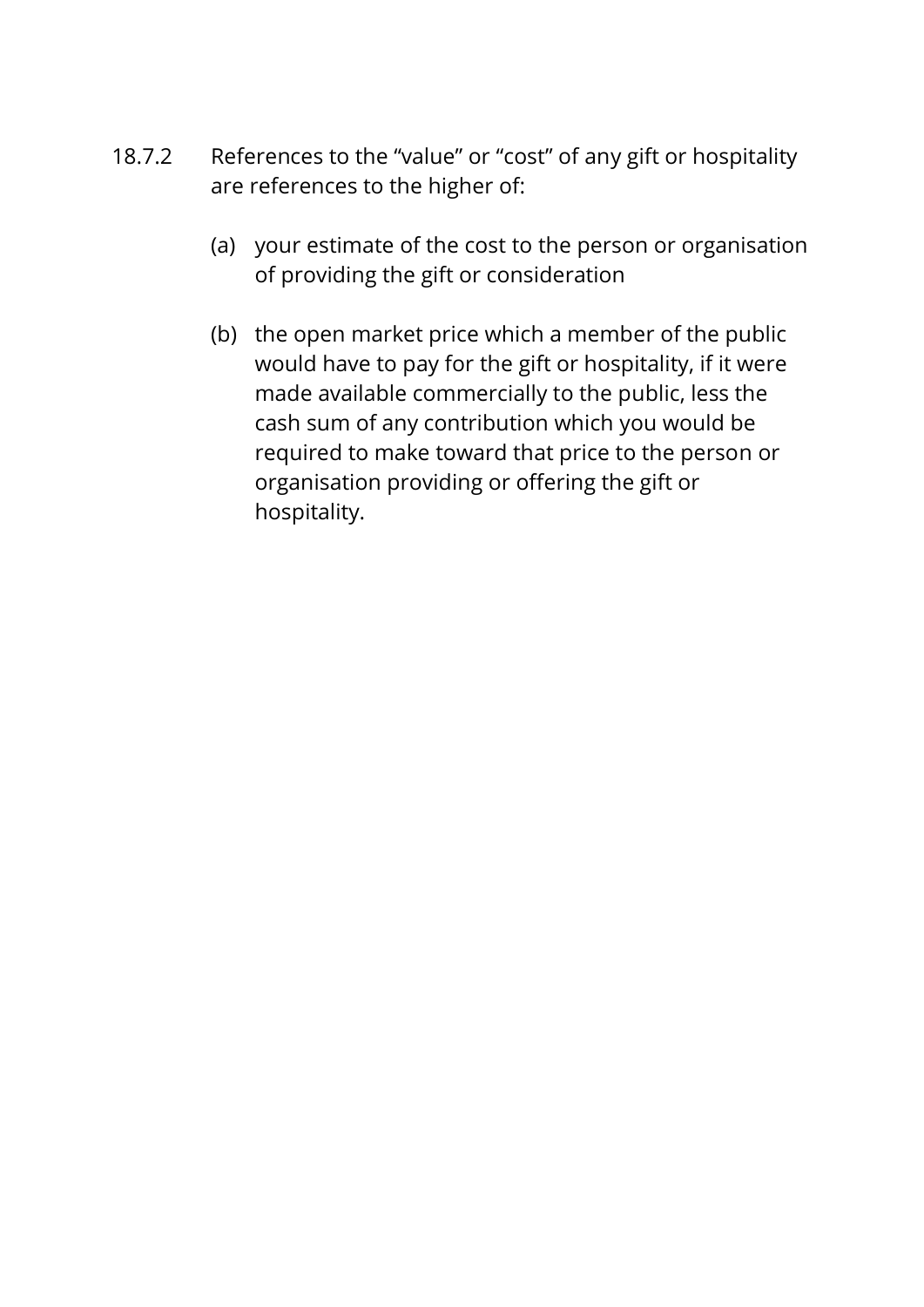- 18.7.2 References to the "value" or "cost" of any gift or hospitality are references to the higher of:
	- (a) your estimate of the cost to the person or organisation of providing the gift or consideration
	- (b) the open market price which a member of the public would have to pay for the gift or hospitality, if it were made available commercially to the public, less the cash sum of any contribution which you would be required to make toward that price to the person or organisation providing or offering the gift or hospitality.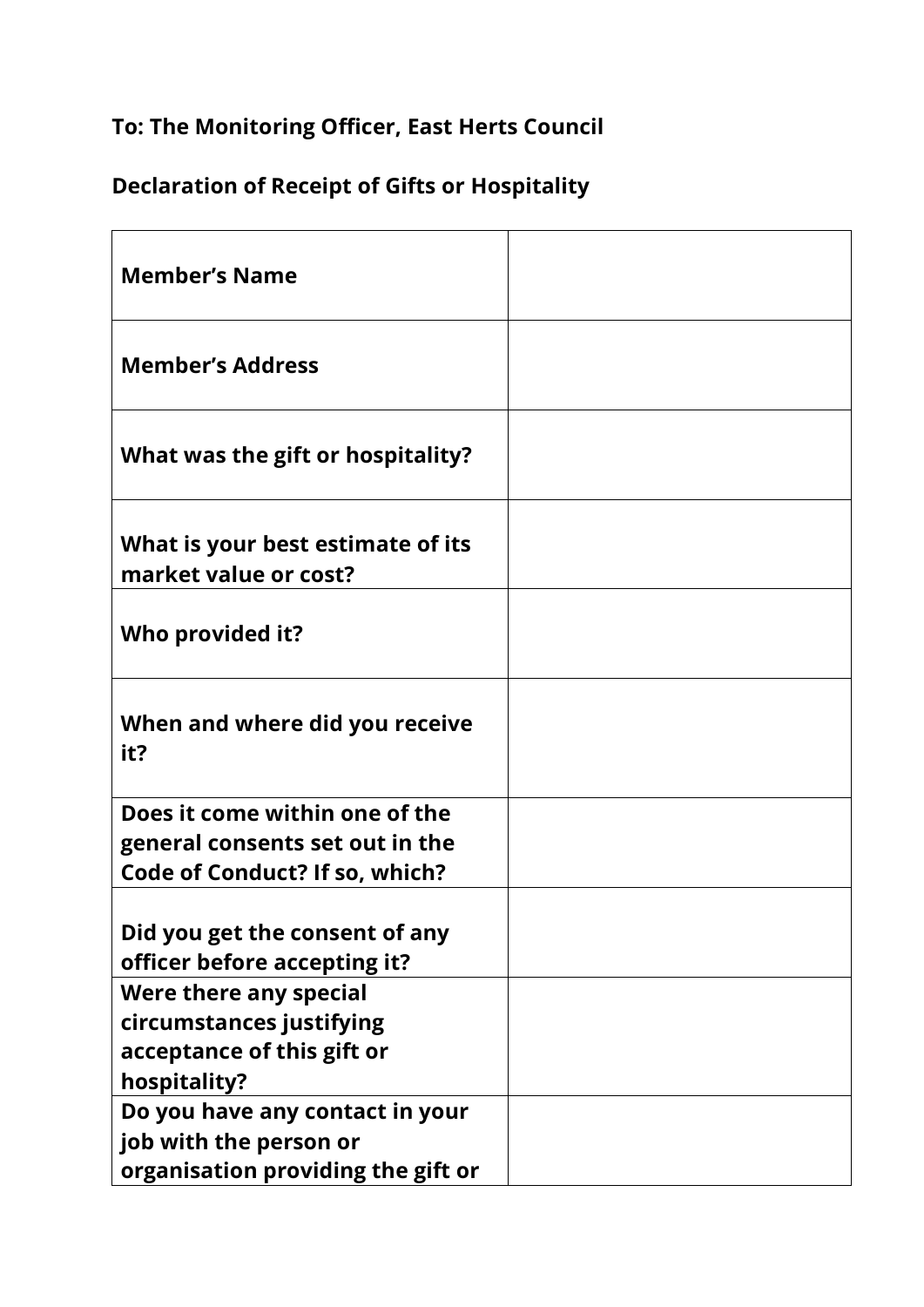# **To: The Monitoring Officer, East Herts Council**

# **Declaration of Receipt of Gifts or Hospitality**

| <b>Member's Name</b>                                                                                |  |
|-----------------------------------------------------------------------------------------------------|--|
| <b>Member's Address</b>                                                                             |  |
| What was the gift or hospitality?                                                                   |  |
| What is your best estimate of its<br>market value or cost?                                          |  |
| Who provided it?                                                                                    |  |
| When and where did you receive<br>it?                                                               |  |
| Does it come within one of the<br>general consents set out in the<br>Code of Conduct? If so, which? |  |
| Did you get the consent of any<br>officer before accepting it?                                      |  |
| Were there any special                                                                              |  |
| circumstances justifying                                                                            |  |
| acceptance of this gift or                                                                          |  |
| hospitality?                                                                                        |  |
| Do you have any contact in your                                                                     |  |
| job with the person or                                                                              |  |
| organisation providing the gift or                                                                  |  |